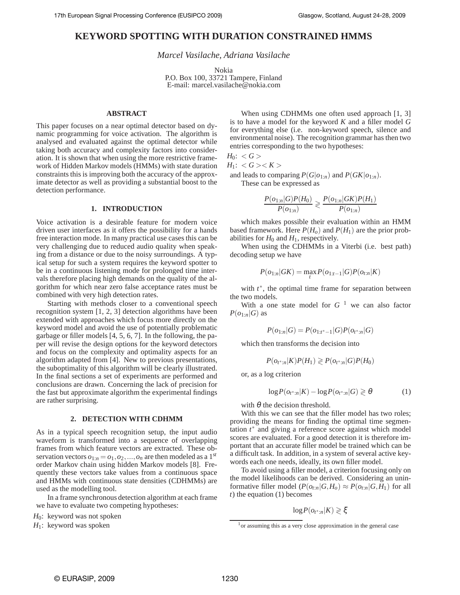# **KEYWORD SPOTTING WITH DURATION CONSTRAINED HMMS**

*Marcel Vasilache, Adriana Vasilache*

Nokia

P.O. Box 100, 33721 Tampere, Finland E-mail: marcel.vasilache@nokia.com

# **ABSTRACT**

This paper focuses on a near optimal detector based on dynamic programming for voice activation. The algorithm is analysed and evaluated against the optimal detector while taking both accuracy and complexity factors into consideration. It is shown that when using the more restrictive framework of Hidden Markov models (HMMs) with state duration constraints this is improving both the accuracy of the approximate detector as well as providing a substantial boost to the detection performance.

# **1. INTRODUCTION**

Voice activation is a desirable feature for modern voice driven user interfaces as it offers the possibility for a hands free interaction mode. In many practical use cases this can be very challenging due to reduced audio quality when speaking from a distance or due to the noisy surroundings. A typical setup for such a system requires the keyword spotter to be in a continuous listening mode for prolonged time intervals therefore placing high demands on the quality of the algorithm for which near zero false acceptance rates must be combined with very high detection rates.

Starting with methods closer to a conventional speech recognition system [1, 2, 3] detection algorithms have been extended with approaches which focus more directly on the keyword model and avoid the use of potentially problematic garbage or filler models [4, 5, 6, 7]. In the following, the paper will revise the design options for the keyword detectors and focus on the complexity and optimality aspects for an algorithm adapted from [4]. New to previous presentations, the suboptimality of this algorithm will be clearly illustrated. In the final sections a set of experiments are performed and conclusions are drawn. Concerning the lack of precision for the fast but approximate algorithm the experimental findings are rather surprising.

# **2. DETECTION WITH CDHMM**

As in a typical speech recognition setup, the input audio waveform is transformed into a sequence of overlapping frames from which feature vectors are extracted. These observation vectors  $o_{1:n} = o_1, o_2, ..., o_n$  are then modeled as a 1<sup>st</sup> order Markov chain using hidden Markov models [8]. Frequently these vectors take values from a continuous space and HMMs with continuous state densities (CDHMMs) are used as the modelling tool.

In a frame synchronous detection algorithm at each frame we have to evaluate two competing hypotheses:

$$
H_0
$$
: keyword was not spoken

*H*<sub>1</sub>: keyword was spoken

When using CDHMMs one often used approach [1, 3] is to have a model for the keyword *K* and a filler model *G* for everything else (i.e. non-keyword speech, silence and environmental noise). The recognition grammar has then two entries corresponding to the two hypotheses:

*H*<sub>0</sub>:  $<$  *G*  $>$  $\angle$  *G*  $\angle$  *K*  $\angle$ 

$$
H_1: \langle G \rangle \langle \Lambda \rangle
$$

and leads to comparing  $P(G|o_{1:n})$  and  $P(GK|o_{1:n})$ . These can be expressed as

$$
\frac{P(o_{1:n}|G)P(H_0)}{P(o_{1:n})} \geq \frac{P(o_{1:n}|GK)P(H_1)}{P(o_{1:n})}
$$

which makes possible their evaluation within an HMM based framework. Here  $P(H_o)$  and  $P(H_1)$  are the prior probabilities for  $H_0$  and  $H_1$ , respectively.

When using the CDHMMs in a Viterbi (i.e. best path) decoding setup we have

$$
P(o_{1:n}|GK) = \max_{t} P(o_{1:t-1}|G)P(o_{t:n}|K)
$$

with  $t^*$ , the optimal time frame for separation between the two models.

With a one state model for  $G<sup>1</sup>$  we can also factor  $P(o_{1:n}|G)$  as

$$
P(o_{1:n}|G) = P(o_{1:t^*-1}|G)P(o_{t^*:n}|G)
$$

which then transforms the decision into

$$
P(o_{t^* : n} | K) P(H_1) \geq P(o_{t^* : n} | G) P(H_0)
$$

or, as a log criterion

$$
\log P(o_{t^*:n}|K) - \log P(o_{t^*:n}|G) \ge \theta \tag{1}
$$

with  $\theta$  the decision threshold.

With this we can see that the filler model has two roles; providing the means for finding the optimal time segmentation  $t^*$  and giving a reference score against which model scores are evaluated. For a good detection it is therefore important that an accurate filler model be trained which can be a difficult task. In addition, in a system of several active keywords each one needs, ideally, its own filler model.

To avoid using a filler model, a criterion focusing only on the model likelihoods can be derived. Considering an uninformative filler model  $(P(o_{t:n}|G,H_o) \approx P(o_{t:n}|G,H_1)$  for all *t*) the equation (1) becomes

log*P*(*o<sup>t</sup>* <sup>∗</sup>:*n*|*K*) ≷ ξ

 $<sup>1</sup>$  or assuming this as a very close approximation in the general case</sup>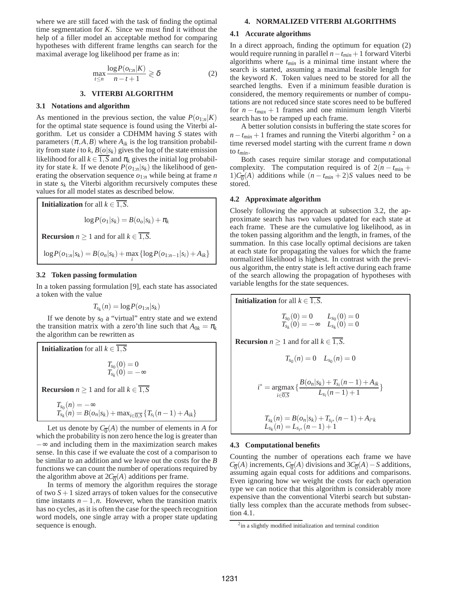where we are still faced with the task of finding the optimal time segmentation for *K*. Since we must find it without the help of a filler model an acceptable method for comparing hypotheses with different frame lengths can search for the maximal average log likelihood per frame as in:

$$
\max_{t \le n} \frac{\log P(o_{t:n}|K)}{n-t+1} \ge \delta
$$
 (2)

# **3. VITERBI ALGORITHM**

#### **3.1 Notations and algorithm**

As mentioned in the previous section, the value  $P(o_{1:n}|K)$ for the optimal state sequence is found using the Viterbi algorithm. Let us consider a CDHMM having *S* states with parameters  $(\pi, A, B)$  where  $A_{ik}$  is the log transition probability from state *i* to *k*,  $B(o|s_k)$  gives the log of the state emission likelihood for all  $k \in \overline{1, S}$  and  $\pi_k$  gives the initial log probability for state *k*. If we denote  $P(o_{1:n}|s_k)$  the likelihood of generating the observation sequence *o*1:*<sup>n</sup>* while being at frame *n* in state  $s_k$  the Viterbi algorithm recursively computes these values for all model states as described below.



# **3.2 Token passing formulation**

In a token passing formulation [9], each state has associated a token with the value

$$
T_{s_k}(n)=\log P(o_{1:n}|s_k)
$$

If we denote by  $s_0$  a "virtual" entry state and we extend the transition matrix with a zero'th line such that  $A_{0k} = \pi_k$ the algorithm can be rewritten as

**Initialization** for all  $k \in \overline{1, S}$ 

$$
\begin{array}{l} T_{s_0}(0)=0 \\ T_{s_k}(0)=-\infty \end{array}
$$

**Recursion**  $n \geq 1$  and for all  $k \in \overline{1, S}$ 

$$
T_{s_0}(n) = -\infty
$$
  
\n
$$
T_{s_k}(n) = B(o_n|s_k) + \max_{i \in \overline{0, S}} \{T_{s_i}(n-1) + A_{ik}\}
$$

Let us denote by  $C_{\overline{0}}(A)$  the number of elements in *A* for which the probability is non zero hence the log is greater than −∞ and including them in the maximization search makes sense. In this case if we evaluate the cost of a comparison to be similar to an addition and we leave out the costs for the *B* functions we can count the number of operations required by the algorithm above at  $2C_{\overline{0}}(A)$  additions per frame.

In terms of memory the algorithm requires the storage of two  $S + 1$  sized arrays of token values for the consecutive time instants  $n-1, n$ . However, when the transition matrix has no cycles, as it is often the case for the speech recognition word models, one single array with a proper state updating sequence is enough.

# **4. NORMALIZED VITERBI ALGORITHMS**

### **4.1 Accurate algorithms**

In a direct approach, finding the optimum for equation (2) would require running in parallel *n*−*tmin* +1 forward Viterbi algorithms where *tmin* is a minimal time instant where the search is started, assuming a maximal feasible length for the keyword *K*. Token values need to be stored for all the searched lengths. Even if a minimum feasible duration is considered, the memory requirements or number of computations are not reduced since state scores need to be buffered for  $n - t_{max} + 1$  frames and one minimum length Viterbi search has to be ramped up each frame.

A better solution consists in buffering the state scores for  $n - t_{min} + 1$  frames and running the Viterbi algorithm <sup>2</sup> on a time reversed model starting with the current frame *n* down to *tmin*.

Both cases require similar storage and computational complexity. The computation required is of  $2(n - t_{min} + t_{min}))$ 1) $C_{\overline{0}}(A)$  additions while  $(n - t_{min} + 2)S$  values need to be stored.

#### **4.2 Approximate algorithm**

Closely following the approach at subsection 3.2, the approximate search has two values updated for each state at each frame. These are the cumulative log likelihood, as in the token passing algorithm and the length, in frames, of the summation. In this case locally optimal decisions are taken at each state for propagating the values for which the frame normalized likelihood is highest. In contrast with the previous algorithm, the entry state is left active during each frame of the search allowing the propagation of hypotheses with variable lengths for the state sequences.

**Initialization** for all  $k \in \overline{1, S}$ .

$$
\begin{array}{ll} T_{s_0}(0)=0 & L_{s_0}(0)=0 \\ T_{s_k}(0)=-\infty & L_{s_k}(0)=0 \end{array}
$$

**Recursion**  $n \geq 1$  and for all  $k \in \overline{1, S}$ .

$$
T_{s_0}(n) = 0 \quad L_{s_0}(n) = 0
$$

$$
i^* = \underset{i \in \overline{0, S}}{\operatorname{argmax}} \left\{ \frac{B(o_n|s_k) + T_{s_i}(n-1) + A_{ik}}{L_{s_i}(n-1) + 1} \right\}
$$

$$
T_{s_k}(n) = B(o_n|s_k) + T_{s_{i^*}}(n-1) + A_{i^*k}
$$

$$
L_{s_k}(n) = L_{s_{i^*}}(n-1) + 1
$$

# **4.3 Computational benefits**

Counting the number of operations each frame we have  $C_{\overline{0}}(A)$  increments,  $C_{\overline{0}}(A)$  divisions and  $3C_{\overline{0}}(A) - S$  additions, assuming again equal costs for additions and comparisons. Even ignoring how we weight the costs for each operation type we can notice that this algorithm is considerably more expensive than the conventional Viterbi search but substantially less complex than the accurate methods from subsection 4.1.

<sup>&</sup>lt;sup>2</sup>in a slightly modified initialization and terminal condition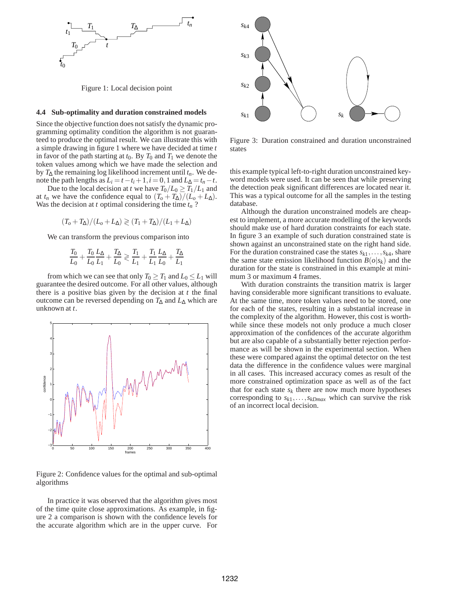

Figure 1: Local decision point

#### **4.4 Sub-optimality and duration constrained models**

Since the objective function does not satisfy the dynamic programming optimality condition the algorithm is not guaranteed to produce the optimal result. We can illustrate this with a simple drawing in figure 1 where we have decided at time *t* in favor of the path starting at  $t_0$ . By  $T_0$  and  $T_1$  we denote the token values among which we have made the selection and by  $T_{\Delta}$  the remaining log likelihood increment until  $t_n$ . We denote the path lengths as  $L_i = t - t_i + 1, i = 0, 1$  and  $L_{\Delta} = t_n - t$ .

Due to the local decision at *t* we have  $T_0/L_0 \geq T_1/L_1$  and at  $t_n$  we have the confidence equal to  $(T_o + T_\Delta)/(L_o + L_\Delta)$ . Was the decision at *t* optimal considering the time  $t_n$ ?

$$
(T_o + T_\Delta)/(L_o + L_\Delta) \geq (T_1 + T_\Delta)/(L_1 + L_\Delta)
$$

We can transform the previous comparison into

$$
\frac{T_0}{L_0} + \frac{T_0}{L_0} \frac{L_{\Delta}}{L_1} + \frac{T_{\Delta}}{L_0} \gtrless \frac{T_1}{L_1} + \frac{T_1}{L_1} \frac{L_{\Delta}}{L_0} + \frac{T_{\Delta}}{L_1}
$$

from which we can see that only  $T_0 \geq T_1$  and  $L_0 \leq L_1$  will guarantee the desired outcome. For all other values, although there is a positive bias given by the decision at *t* the final outcome can be reversed depending on *T*<sup>∆</sup> and *L*<sup>∆</sup> which are unknown at *t*.



Figure 2: Confidence values for the optimal and sub-optimal algorithms

In practice it was observed that the algorithm gives most of the time quite close approximations. As example, in figure 2 a comparison is shown with the confidence levels for the accurate algorithm which are in the upper curve. For



Figure 3: Duration constrained and duration unconstrained states

this example typical left-to-right duration unconstrained keyword models were used. It can be seen that while preserving the detection peak significant differences are located near it. This was a typical outcome for all the samples in the testing database.

Although the duration unconstrained models are cheapest to implement, a more accurate modelling of the keywords should make use of hard duration constraints for each state. In figure 3 an example of such duration constrained state is shown against an unconstrained state on the right hand side. For the duration constrained case the states  $s_{k1}, \ldots, s_{k4}$ , share the same state emission likelihood function  $B(o|s_k)$  and the duration for the state is constrained in this example at minimum 3 or maximum 4 frames.

With duration constraints the transition matrix is larger having considerable more significant transitions to evaluate. At the same time, more token values need to be stored, one for each of the states, resulting in a substantial increase in the complexity of the algorithm. However, this cost is worthwhile since these models not only produce a much closer approximation of the confidences of the accurate algorithm but are also capable of a substantially better rejection performance as will be shown in the experimental section. When these were compared against the optimal detector on the test data the difference in the confidence values were marginal in all cases. This increased accuracy comes as result of the more constrained optimization space as well as of the fact that for each state  $s_k$  there are now much more hypotheses corresponding to  $s_{k1}, \ldots, s_{kDmax}$  which can survive the risk of an incorrect local decision.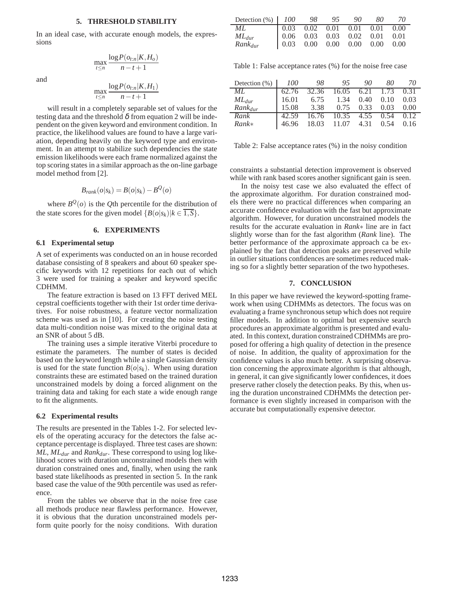### **5. THRESHOLD STABILITY**

In an ideal case, with accurate enough models, the expressions

and

$$
\max_{t \leq n} \frac{\log t \left( \sigma_{t,n} | \mathbf{1}, \mathbf{1}, \mathbf{0} \right)}{n - t + 1}
$$

 $log P(o_{t:n}|K,H_o)$ 

$$
\max_{t \leq n} \frac{\log P(o_{t:n}|K, H_1)}{n-t+1}
$$

will result in a completely separable set of values for the testing data and the threshold  $\delta$  from equation 2 will be independent on the given keyword and environment condition. In practice, the likelihood values are found to have a large variation, depending heavily on the keyword type and environment. In an attempt to stabilize such dependencies the state emission likelihoods were each frame normalized against the top scoring states in a similar approach as the on-line garbage model method from [2].

$$
B_{rank}(o|s_k) = B(o|s_k) - B^{\mathcal{Q}}(o)
$$

where  $B^{\mathcal{Q}}(o)$  is the *Q*th percentile for the distribution of the state scores for the given model  $\{B(o|s_k)|k \in \overline{1, S}\}.$ 

#### **6. EXPERIMENTS**

# **6.1 Experimental setup**

A set of experiments was conducted on an in house recorded database consisting of 8 speakers and about 60 speaker specific keywords with 12 repetitions for each out of which 3 were used for training a speaker and keyword specific CDHMM.

The feature extraction is based on 13 FFT derived MEL cepstral coefficients together with their 1st order time derivatives. For noise robustness, a feature vector normalization scheme was used as in [10]. For creating the noise testing data multi-condition noise was mixed to the original data at an SNR of about 5 dB.

The training uses a simple iterative Viterbi procedure to estimate the parameters. The number of states is decided based on the keyword length while a single Gaussian density is used for the state function  $B(o|s_k)$ . When using duration constraints these are estimated based on the trained duration unconstrained models by doing a forced alignment on the training data and taking for each state a wide enough range to fit the alignments.

### **6.2 Experimental results**

The results are presented in the Tables 1-2. For selected levels of the operating accuracy for the detectors the false acceptance percentage is displayed. Three test cases are shown: *ML*, *MLdur* and *Rankdur*. These correspond to using log likelihood scores with duration unconstrained models then with duration constrained ones and, finally, when using the rank based state likelihoods as presented in section 5. In the rank based case the value of the 90th percentile was used as reference.

From the tables we observe that in the noise free case all methods produce near flawless performance. However, it is obvious that the duration unconstrained models perform quite poorly for the noisy conditions. With duration

| Detection $(\%)$ 100 | 98 | - 95 | -90                                                                                                                                                                                     | -80 | -70 |
|----------------------|----|------|-----------------------------------------------------------------------------------------------------------------------------------------------------------------------------------------|-----|-----|
| ML.                  |    |      |                                                                                                                                                                                         |     |     |
| $ML_{dur}$           |    |      |                                                                                                                                                                                         |     |     |
| $Rank_{dur}$         |    |      | $\begin{array}{ cccc cccc } \hline 0.03 & 0.02 & 0.01 & 0.01 & 0.01 & 0.00 \\ 0.06 & 0.03 & 0.03 & 0.02 & 0.01 & 0.01 \\ 0.03 & 0.00 & 0.00 & 0.00 & 0.00 & 0.00 \\ \hline \end{array}$ |     |     |

Table 1: False acceptance rates (%) for the noise free case

| Detection $(\% )$ | <i>100</i> | 98.   | 95.              | 90.  | 80                     | 70   |
|-------------------|------------|-------|------------------|------|------------------------|------|
| ML.               | 62.76      | 32.36 | 16.05            |      | 6.21 $1.\overline{73}$ | 0.31 |
| $ML_{dur}$        | 16.01      | 6.75  | 1.34             | 0.40 | 0.10                   | 0.03 |
| $Rank_{dur}$      | 15.08      | 3.38  | 0.75             | 0.33 | 0.03                   | 0.00 |
| Rank              | 42.59      |       | 16.76 10.35 4.55 |      | 0.54                   | 0.12 |
| $Rank*$           | 46.96      |       | 18.03 11.07      | 4.31 | 0.54                   | 0.16 |

Table 2: False acceptance rates (%) in the noisy condition

constraints a substantial detection improvement is observed while with rank based scores another significant gain is seen.

In the noisy test case we also evaluated the effect of the approximate algorithm. For duration constrained models there were no practical differences when comparing an accurate confidence evaluation with the fast but approximate algorithm. However, for duration unconstrained models the results for the accurate evaluation in *Rank*∗ line are in fact slightly worse than for the fast algorithm (*Rank* line). The better performance of the approximate approach ca be explained by the fact that detection peaks are preserved while in outlier situations confidences are sometimes reduced making so for a slightly better separation of the two hypotheses.

#### **7. CONCLUSION**

In this paper we have reviewed the keyword-spotting framework when using CDHMMs as detectors. The focus was on evaluating a frame synchronous setup which does not require filler models. In addition to optimal but expensive search procedures an approximate algorithm is presented and evaluated. In this context, duration constrained CDHMMs are proposed for offering a high quality of detection in the presence of noise. In addition, the quality of approximation for the confidence values is also much better. A surprising observation concerning the approximate algorithm is that although, in general, it can give significantly lower confidences, it does preserve rather closely the detection peaks. By this, when using the duration unconstrained CDHMMs the detection performance is even slightly increased in comparison with the accurate but computationally expensive detector.